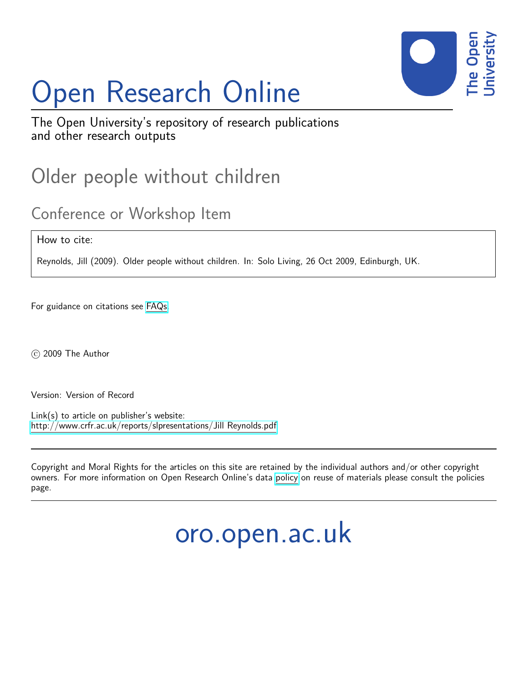## Open Research Online



The Open University's repository of research publications and other research outputs

### Older people without children

#### Conference or Workshop Item

How to cite:

Reynolds, Jill (2009). Older people without children. In: Solo Living, 26 Oct 2009, Edinburgh, UK.

For guidance on citations see [FAQs.](http://oro.open.ac.uk/help/helpfaq.html)

c 2009 The Author

Version: Version of Record

Link(s) to article on publisher's website: <http://www.crfr.ac.uk/reports/slpresentations/Jill Reynolds.pdf>

Copyright and Moral Rights for the articles on this site are retained by the individual authors and/or other copyright owners. For more information on Open Research Online's data [policy](http://oro.open.ac.uk/policies.html) on reuse of materials please consult the policies page.

oro.open.ac.uk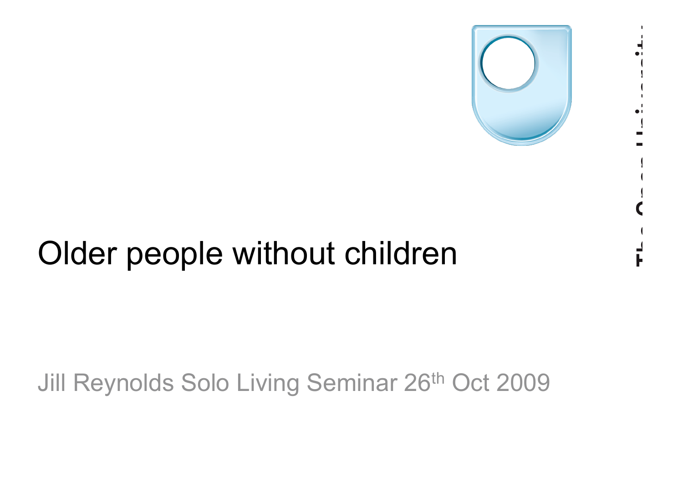

## Older people without children

### Jill Reynolds Solo Living Seminar 26th Oct 2009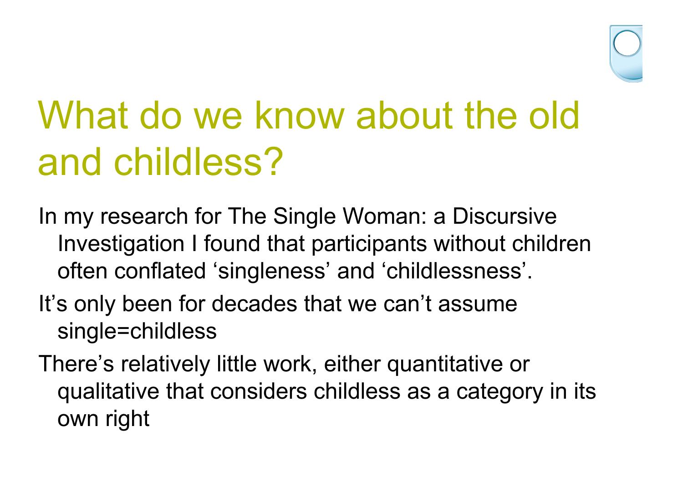

# What do we know about the old and childless?

- In my research for The Single Woman: a Discursive Investigation I found that participants without children often conflated 'singleness' and 'childlessness'.
- It's only been for decades that we can't assume single=childless
- There's relatively little work, either quantitative or qualitative that considers childless as a category in its own right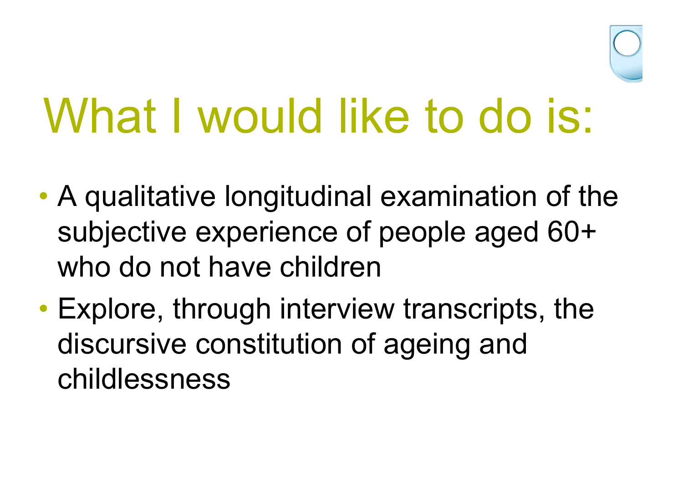

# What I would like to do is:

- A qualitative longitudinal examination of the subjective experience of people aged 60+ who do not have children
- Explore, through interview transcripts, the discursive constitution of ageing and childlessness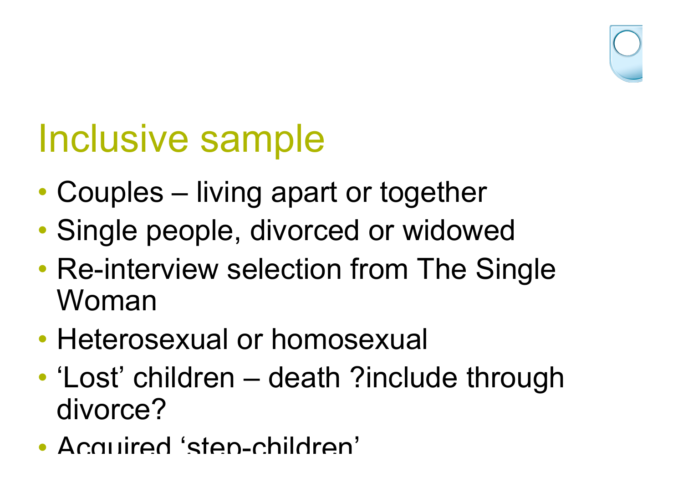

## Inclusive sample

- Couples living apart or together
- Single people, divorced or widowed
- Re-interview selection from The Single Woman
- Heterosexual or homosexual
- 'Lost' children death ?include through divorce?
- Acquired 'step-children'.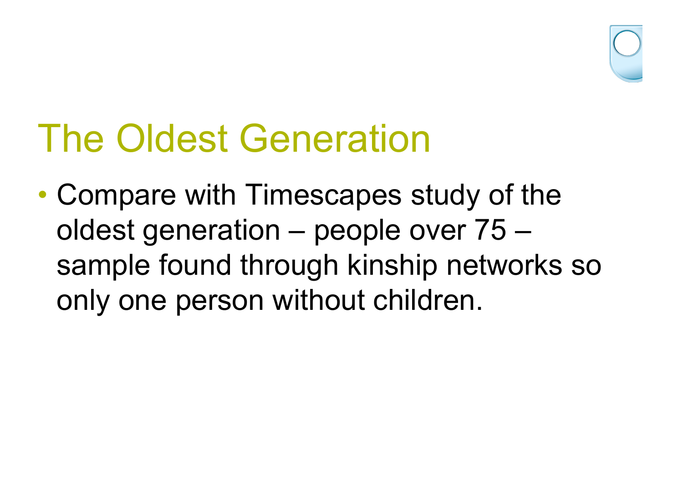

## The Oldest Generation

• Compare with Timescapes study of the oldest generation – people over 75 – sample found through kinship networks so only one person without children.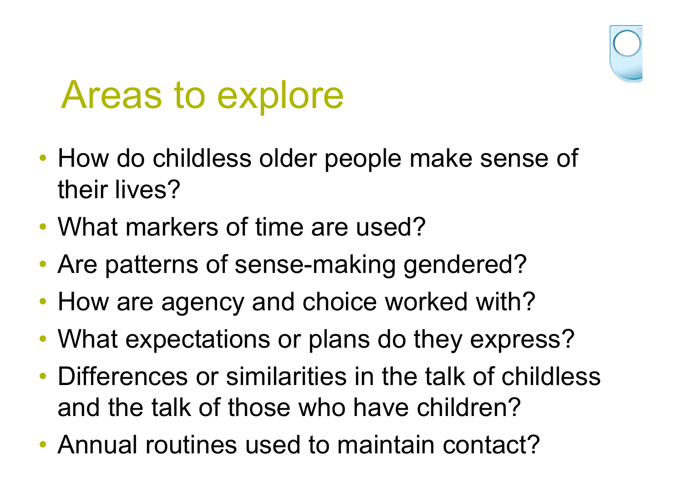## Areas to explore

- How do childless older people make sense of their lives?
- What markers of time are used?
- Are patterns of sense-making gendered?
- How are agency and choice worked with?
- What expectations or plans do they express?
- Differences or similarities in the talk of childless and the talk of those who have children?
- Annual routines used to maintain contact?